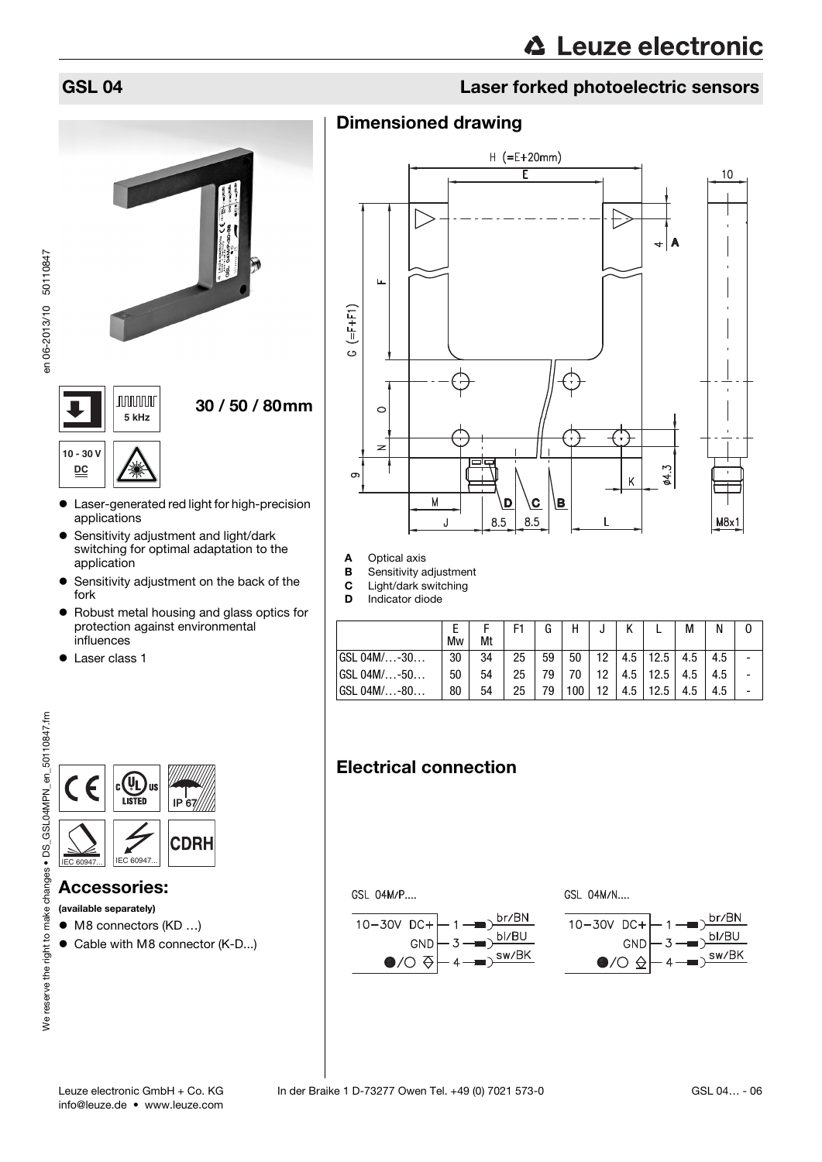# GSL 04 Laser forked photoelectric sensors



- Laser-generated red light for high-precision applications
- **•** Sensitivity adjustment and light/dark switching for optimal adaptation to the application
- **•** Sensitivity adjustment on the back of the fork
- Robust metal housing and glass optics for protection against environmental influences
- Laser class 1



### Accessories:

(available separately)

- M8 connectors (KD ...)
- Cable with M8 connector (K-D...)



- A Optical axis
- **B** Sensitivity adjustment<br>**C** Light/dark switching

Dimensioned drawing

**C** Light/dark switching<br>**D** Indicator diode

Indicator diode

|             | Mw | Mt | F1 | G  | Н   |    |     |      | М   | N   |  |
|-------------|----|----|----|----|-----|----|-----|------|-----|-----|--|
| GSL 04M/-30 | 30 | 34 | 25 | 59 | 50  | 12 | 4.5 | 12.5 | 4.5 | 4.5 |  |
| GSL 04M/-50 | 50 | 54 | 25 | 79 | 70  | 12 | 4.5 | 12.5 | 4.5 | 4.5 |  |
| GSL 04M/-80 | 80 | 54 | 25 | 79 | 100 | 12 | 4.5 | 12.5 | 4.5 | 4.5 |  |

# Electrical connection

GSL 04M/P....







en 06-2013/10 50110847